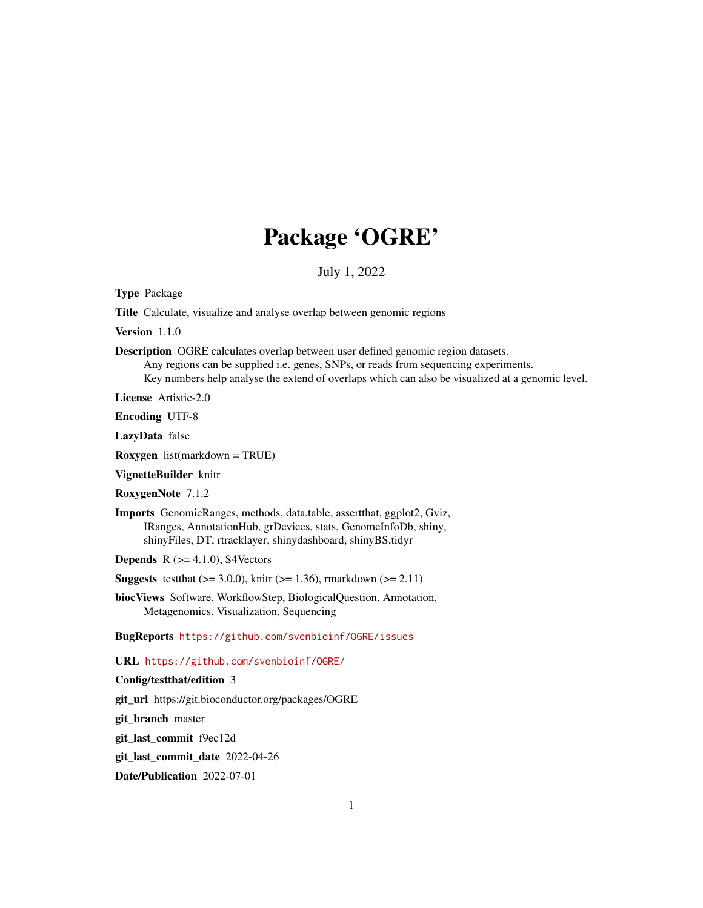# Package 'OGRE'

July 1, 2022

Type Package

Title Calculate, visualize and analyse overlap between genomic regions

Version 1.1.0

Description OGRE calculates overlap between user defined genomic region datasets. Any regions can be supplied i.e. genes, SNPs, or reads from sequencing experiments. Key numbers help analyse the extend of overlaps which can also be visualized at a genomic level.

License Artistic-2.0

Encoding UTF-8

LazyData false

Roxygen list(markdown = TRUE)

VignetteBuilder knitr

RoxygenNote 7.1.2

Imports GenomicRanges, methods, data.table, assertthat, ggplot2, Gviz, IRanges, AnnotationHub, grDevices, stats, GenomeInfoDb, shiny, shinyFiles, DT, rtracklayer, shinydashboard, shinyBS,tidyr

**Depends** R  $(>= 4.1.0)$ , S4Vectors

**Suggests** test that  $(>= 3.0.0)$ , knitr  $(>= 1.36)$ , rmarkdown  $(>= 2.11)$ 

biocViews Software, WorkflowStep, BiologicalQuestion, Annotation, Metagenomics, Visualization, Sequencing

BugReports <https://github.com/svenbioinf/OGRE/issues>

URL <https://github.com/svenbioinf/OGRE/>

# Config/testthat/edition 3

git\_url https://git.bioconductor.org/packages/OGRE

git\_branch master

git\_last\_commit f9ec12d

git\_last\_commit\_date 2022-04-26

Date/Publication 2022-07-01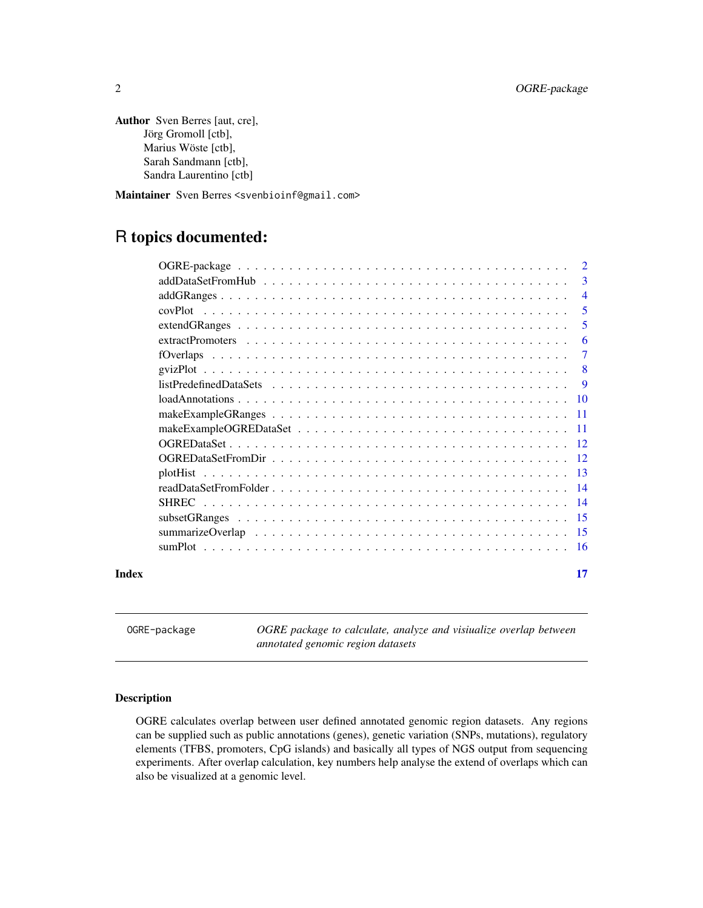```
Author Sven Berres [aut, cre],
      Jörg Gromoll [ctb],
      Marius Wöste [ctb],
      Sarah Sandmann [ctb],
      Sandra Laurentino [ctb]
```
Maintainer Sven Berres <svenbioinf@gmail.com>

# R topics documented:

|       | $\overline{2}$ |
|-------|----------------|
|       | 3              |
|       | $\overline{4}$ |
|       | 5              |
|       | 5              |
|       | 6              |
|       | $\tau$         |
|       | $\overline{8}$ |
|       | - 9            |
|       |                |
|       |                |
|       |                |
|       |                |
|       |                |
|       |                |
|       |                |
|       |                |
|       |                |
|       |                |
|       |                |
| Index | 17             |

OGRE-package *OGRE package to calculate, analyze and visiualize overlap between annotated genomic region datasets*

#### Description

OGRE calculates overlap between user defined annotated genomic region datasets. Any regions can be supplied such as public annotations (genes), genetic variation (SNPs, mutations), regulatory elements (TFBS, promoters, CpG islands) and basically all types of NGS output from sequencing experiments. After overlap calculation, key numbers help analyse the extend of overlaps which can also be visualized at a genomic level.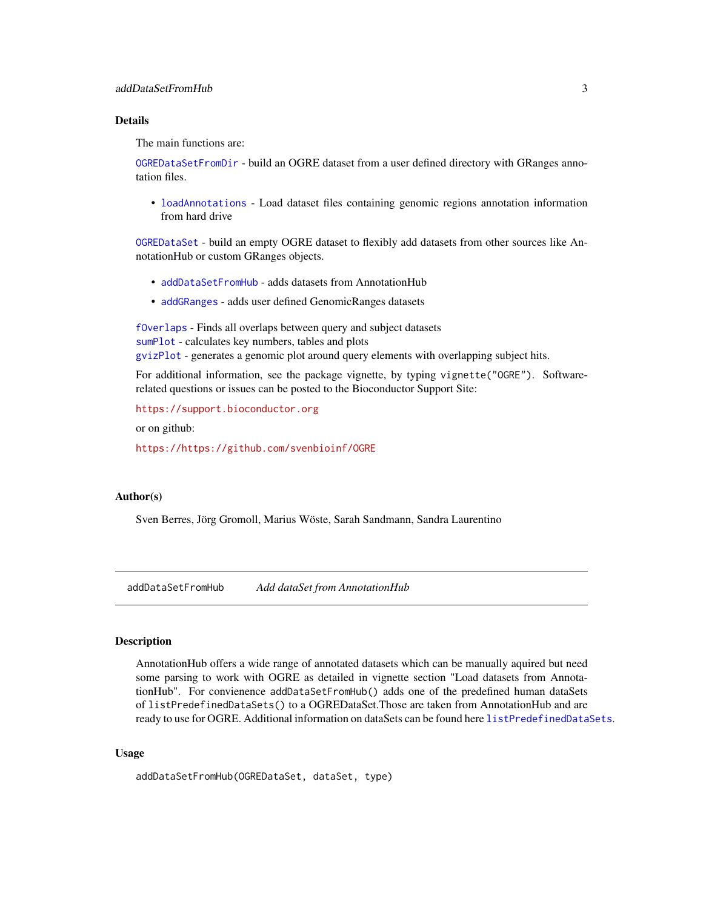#### <span id="page-2-0"></span>addDataSetFromHub 3

#### Details

The main functions are:

[OGREDataSetFromDir](#page-11-1) - build an OGRE dataset from a user defined directory with GRanges annotation files.

• [loadAnnotations](#page-9-1) - Load dataset files containing genomic regions annotation information from hard drive

[OGREDataSet](#page-11-2) - build an empty OGRE dataset to flexibly add datasets from other sources like AnnotationHub or custom GRanges objects.

- [addDataSetFromHub](#page-2-1) adds datasets from AnnotationHub
- [addGRanges](#page-3-1) adds user defined GenomicRanges datasets

[fOverlaps](#page-6-1) - Finds all overlaps between query and subject datasets [sumPlot](#page-15-1) - calculates key numbers, tables and plots [gvizPlot](#page-7-1) - generates a genomic plot around query elements with overlapping subject hits.

For additional information, see the package vignette, by typing vignette("OGRE"). Softwarerelated questions or issues can be posted to the Bioconductor Support Site:

<https://support.bioconductor.org>

or on github:

<https://https://github.com/svenbioinf/OGRE>

#### Author(s)

Sven Berres, Jörg Gromoll, Marius Wöste, Sarah Sandmann, Sandra Laurentino

<span id="page-2-1"></span>addDataSetFromHub *Add dataSet from AnnotationHub*

#### **Description**

AnnotationHub offers a wide range of annotated datasets which can be manually aquired but need some parsing to work with OGRE as detailed in vignette section "Load datasets from AnnotationHub". For convienence addDataSetFromHub() adds one of the predefined human dataSets of listPredefinedDataSets() to a OGREDataSet.Those are taken from AnnotationHub and are ready to use for OGRE. Additional information on dataSets can be found here [listPredefinedDataSets](#page-8-1).

#### Usage

```
addDataSetFromHub(OGREDataSet, dataSet, type)
```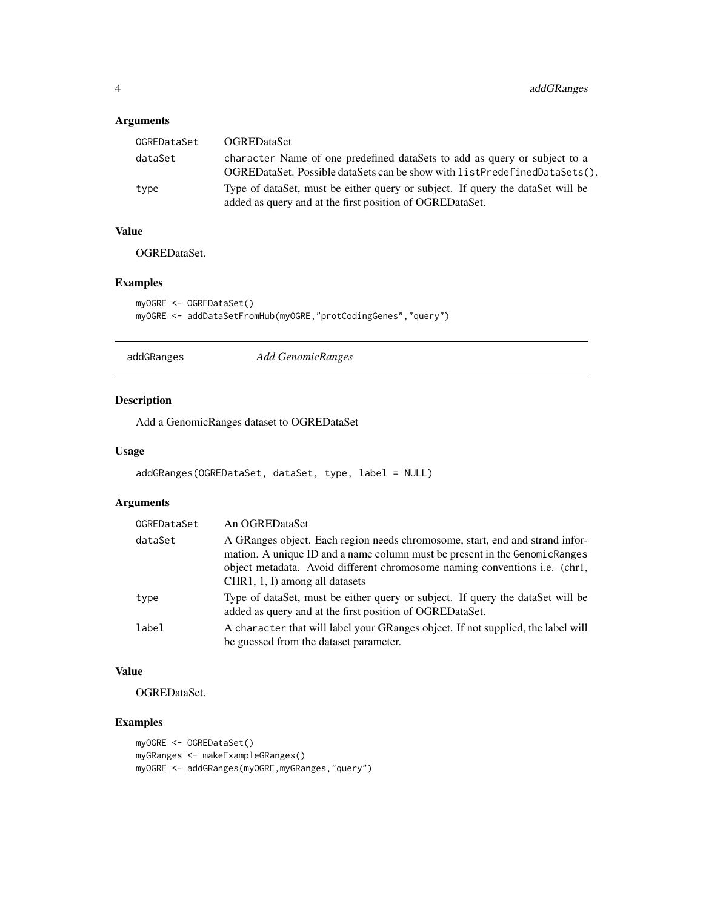# <span id="page-3-0"></span>Arguments

| OGREDataSet | <b>OGREDataSet</b>                                                                                                                                     |
|-------------|--------------------------------------------------------------------------------------------------------------------------------------------------------|
| dataSet     | character Name of one predefined dataSets to add as query or subject to a<br>OGREDataSet. Possible dataSets can be show with listPredefinedDataSets(). |
| type        | Type of dataSet, must be either query or subject. If query the dataSet will be<br>added as query and at the first position of OGRED at a Set.          |

# Value

OGREDataSet.

# Examples

```
myOGRE <- OGREDataSet()
myOGRE <- addDataSetFromHub(myOGRE,"protCodingGenes","query")
```
<span id="page-3-1"></span>

addGRanges *Add GenomicRanges*

# Description

Add a GenomicRanges dataset to OGREDataSet

#### Usage

```
addGRanges(OGREDataSet, dataSet, type, label = NULL)
```
# Arguments

| OGREDataSet | An OGREDataSet                                                                                                                                                                                                                                                              |
|-------------|-----------------------------------------------------------------------------------------------------------------------------------------------------------------------------------------------------------------------------------------------------------------------------|
| dataSet     | A GRanges object. Each region needs chromosome, start, end and strand infor-<br>mation. A unique ID and a name column must be present in the Genomic Ranges<br>object metadata. Avoid different chromosome naming conventions i.e. (chr1,<br>CHR1, 1, I) among all datasets |
| type        | Type of dataSet, must be either query or subject. If query the dataSet will be<br>added as query and at the first position of OGRED ataSet.                                                                                                                                 |
| label       | A character that will label your GRanges object. If not supplied, the label will<br>be guessed from the dataset parameter.                                                                                                                                                  |

# Value

OGREDataSet.

```
myOGRE <- OGREDataSet()
myGRanges <- makeExampleGRanges()
myOGRE <- addGRanges(myOGRE,myGRanges,"query")
```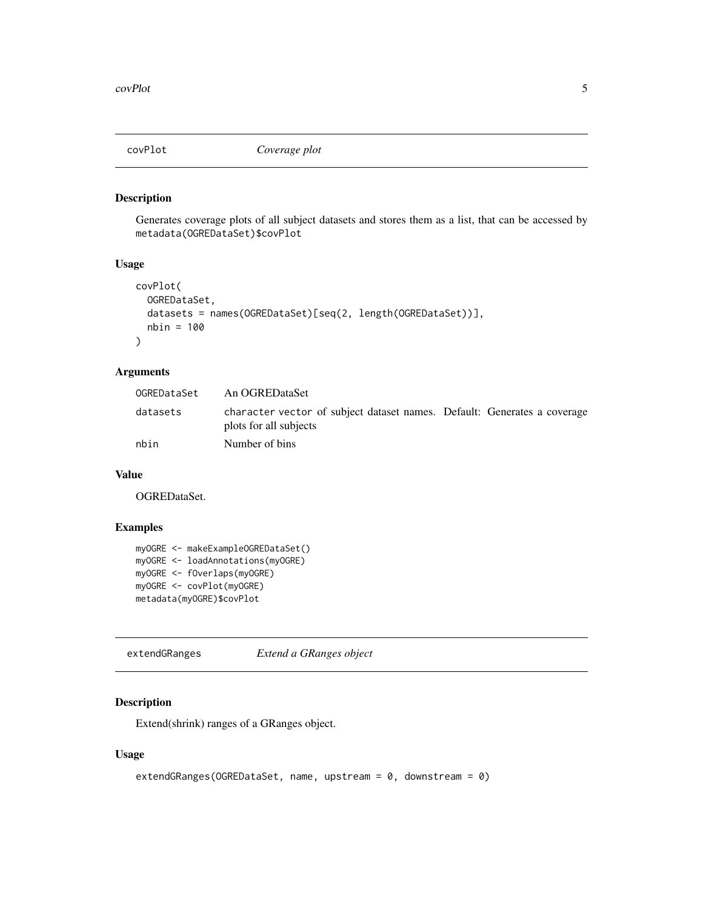<span id="page-4-0"></span>

Generates coverage plots of all subject datasets and stores them as a list, that can be accessed by metadata(OGREDataSet)\$covPlot

# Usage

```
covPlot(
 OGREDataSet,
  datasets = names(OGREDataSet)[seq(2, length(OGREDataSet))],
 nbin = 100
)
```
# Arguments

| OGREDataSet | An OGREDataSet                                                                                     |  |
|-------------|----------------------------------------------------------------------------------------------------|--|
| datasets    | character vector of subject dataset names. Default: Generates a coverage<br>plots for all subjects |  |
| nbin        | Number of bins                                                                                     |  |

#### Value

OGREDataSet.

# Examples

```
myOGRE <- makeExampleOGREDataSet()
myOGRE <- loadAnnotations(myOGRE)
myOGRE <- fOverlaps(myOGRE)
myOGRE <- covPlot(myOGRE)
metadata(myOGRE)$covPlot
```
extendGRanges *Extend a GRanges object*

# Description

Extend(shrink) ranges of a GRanges object.

# Usage

```
extendGRanges(OGREDataSet, name, upstream = 0, downstream = 0)
```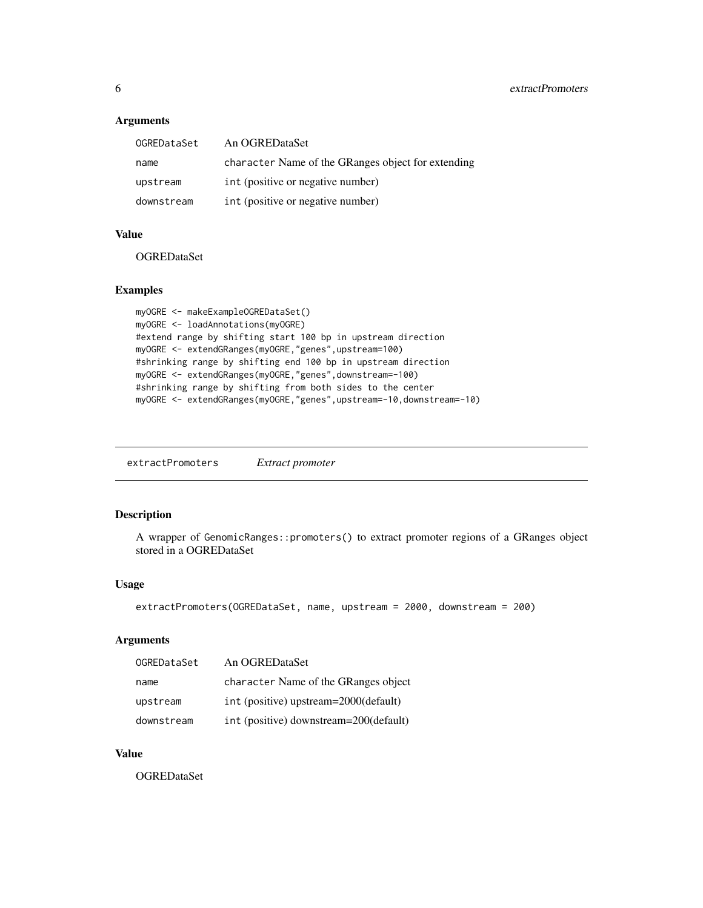# <span id="page-5-0"></span>Arguments

| OGREDataSet | An OGREDataSet                                     |
|-------------|----------------------------------------------------|
| name        | character Name of the GRanges object for extending |
| upstream    | int (positive or negative number)                  |
| downstream  | int (positive or negative number)                  |

#### Value

**OGREDataSet** 

# Examples

```
myOGRE <- makeExampleOGREDataSet()
myOGRE <- loadAnnotations(myOGRE)
#extend range by shifting start 100 bp in upstream direction
myOGRE <- extendGRanges(myOGRE,"genes",upstream=100)
#shrinking range by shifting end 100 bp in upstream direction
myOGRE <- extendGRanges(myOGRE,"genes",downstream=-100)
#shrinking range by shifting from both sides to the center
myOGRE <- extendGRanges(myOGRE,"genes",upstream=-10,downstream=-10)
```
extractPromoters *Extract promoter*

# Description

A wrapper of GenomicRanges::promoters() to extract promoter regions of a GRanges object stored in a OGREDataSet

#### Usage

```
extractPromoters(OGREDataSet, name, upstream = 2000, downstream = 200)
```
# Arguments

| OGREDataSet | An OGREDataSet                         |
|-------------|----------------------------------------|
| name        | character Name of the GRanges object   |
| upstream    | int (positive) upstream=2000(default)  |
| downstream  | int (positive) downstream=200(default) |

#### Value

OGREDataSet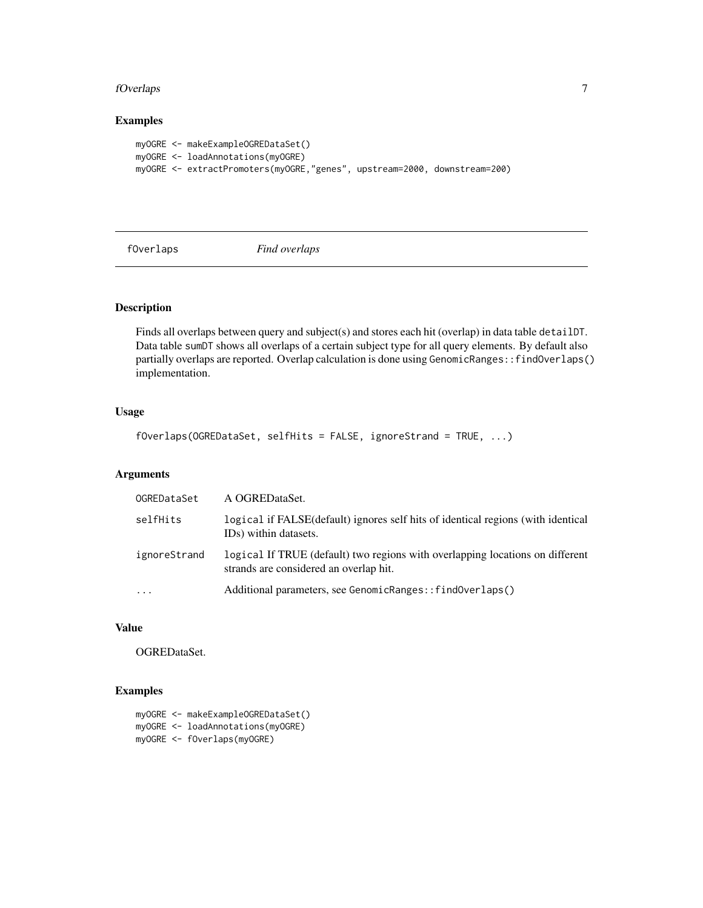#### <span id="page-6-0"></span>fOverlaps 7

# Examples

```
myOGRE <- makeExampleOGREDataSet()
myOGRE <- loadAnnotations(myOGRE)
myOGRE <- extractPromoters(myOGRE,"genes", upstream=2000, downstream=200)
```
<span id="page-6-1"></span>

fOverlaps *Find overlaps*

# Description

Finds all overlaps between query and subject(s) and stores each hit (overlap) in data table detailDT. Data table sumDT shows all overlaps of a certain subject type for all query elements. By default also partially overlaps are reported. Overlap calculation is done using GenomicRanges::findOverlaps() implementation.

# Usage

fOverlaps(OGREDataSet, selfHits = FALSE, ignoreStrand = TRUE, ...)

# Arguments

| OGREDataSet  | A OGREDataSet.                                                                                                          |
|--------------|-------------------------------------------------------------------------------------------------------------------------|
| selfHits     | logical if FALSE (default) ignores self hits of identical regions (with identical<br>ID <sub>s</sub> ) within datasets. |
| ignoreStrand | logical If TRUE (default) two regions with overlapping locations on different<br>strands are considered an overlap hit. |
| $\ddotsc$    | Additional parameters, see GenomicRanges:: findOverlaps()                                                               |

# Value

OGREDataSet.

### Examples

myOGRE <- makeExampleOGREDataSet() myOGRE <- loadAnnotations(myOGRE) myOGRE <- fOverlaps(myOGRE)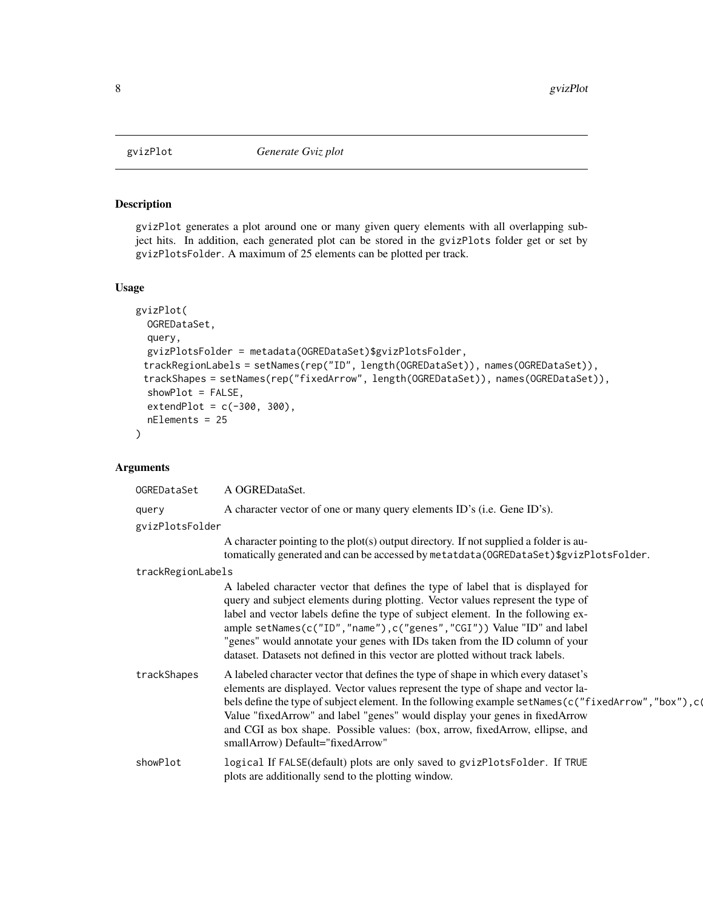<span id="page-7-1"></span><span id="page-7-0"></span>

gvizPlot generates a plot around one or many given query elements with all overlapping subject hits. In addition, each generated plot can be stored in the gvizPlots folder get or set by gvizPlotsFolder. A maximum of 25 elements can be plotted per track.

#### Usage

```
gvizPlot(
  OGREDataSet,
  query,
  gvizPlotsFolder = metadata(OGREDataSet)$gvizPlotsFolder,
 trackRegionLabels = setNames(rep("ID", length(OGREDataSet)), names(OGREDataSet)),
 trackShapes = setNames(rep("fixedArrow", length(OGREDataSet)), names(OGREDataSet)),
  showPlot = FALSE,
  extendPlot = c(-300, 300),nElements = 25
)
```
# Arguments

| OGREDataSet       | A OGREDataSet.                                                                                                                                                                                                                                                                                                                                                                                                                                                                                            |
|-------------------|-----------------------------------------------------------------------------------------------------------------------------------------------------------------------------------------------------------------------------------------------------------------------------------------------------------------------------------------------------------------------------------------------------------------------------------------------------------------------------------------------------------|
| query             | A character vector of one or many query elements ID's (i.e. Gene ID's).                                                                                                                                                                                                                                                                                                                                                                                                                                   |
| gvizPlotsFolder   |                                                                                                                                                                                                                                                                                                                                                                                                                                                                                                           |
|                   | A character pointing to the plot(s) output directory. If not supplied a folder is au-<br>tomatically generated and can be accessed by metatdata (OGREDataSet)\$gvizPlotsFolder.                                                                                                                                                                                                                                                                                                                           |
| trackRegionLabels |                                                                                                                                                                                                                                                                                                                                                                                                                                                                                                           |
|                   | A labeled character vector that defines the type of label that is displayed for<br>query and subject elements during plotting. Vector values represent the type of<br>label and vector labels define the type of subject element. In the following ex-<br>ample setNames(c("ID","name"),c("genes","CGI")) Value "ID" and label<br>"genes" would annotate your genes with IDs taken from the ID column of your<br>dataset. Datasets not defined in this vector are plotted without track labels.           |
| trackShapes       | A labeled character vector that defines the type of shape in which every dataset's<br>elements are displayed. Vector values represent the type of shape and vector la-<br>bels define the type of subject element. In the following example setNames ( $c$ ("fixedArrow", "box"), $c$ ( $\overline{c}$<br>Value "fixedArrow" and label "genes" would display your genes in fixedArrow<br>and CGI as box shape. Possible values: (box, arrow, fixedArrow, ellipse, and<br>smallArrow) Default="fixedArrow" |
| showPlot          | logical If FALSE(default) plots are only saved to gvizPlotsFolder. If TRUE<br>plots are additionally send to the plotting window.                                                                                                                                                                                                                                                                                                                                                                         |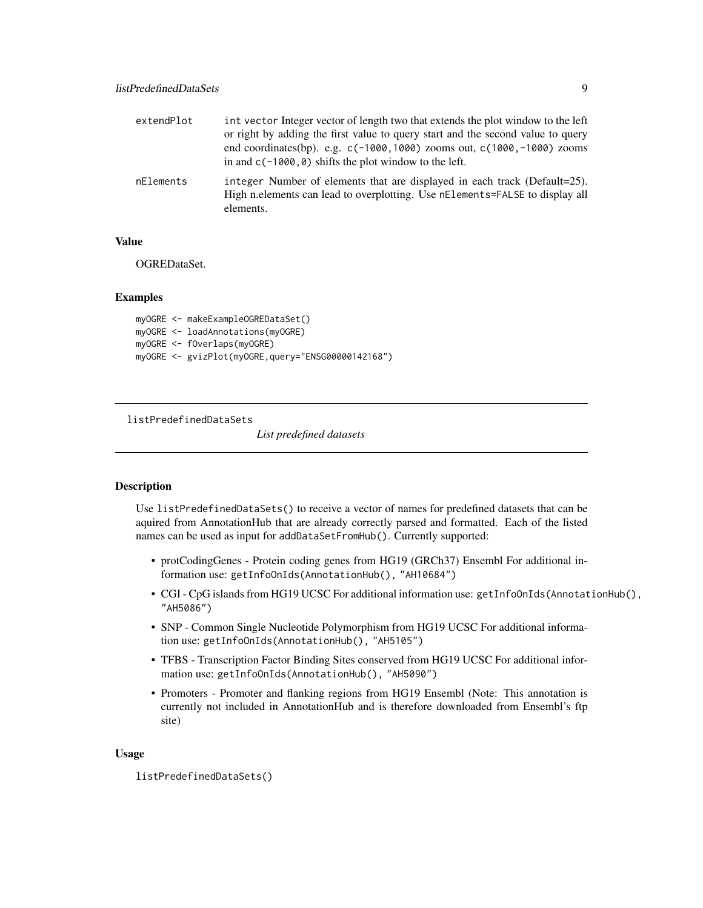<span id="page-8-0"></span>

| extendPlot | int vector Integer vector of length two that extends the plot window to the left<br>or right by adding the first value to query start and the second value to query<br>end coordinates(bp). e.g. $c(-1000, 1000)$ zooms out, $c(1000, -1000)$ zooms<br>in and $c(-1000, 0)$ shifts the plot window to the left. |
|------------|-----------------------------------------------------------------------------------------------------------------------------------------------------------------------------------------------------------------------------------------------------------------------------------------------------------------|
| nElements  | integer Number of elements that are displayed in each track (Default=25).<br>High n.elements can lead to overplotting. Use nElements=FALSE to display all<br>elements.                                                                                                                                          |

#### Value

OGREDataSet.

# Examples

```
myOGRE <- makeExampleOGREDataSet()
myOGRE <- loadAnnotations(myOGRE)
myOGRE <- fOverlaps(myOGRE)
myOGRE <- gvizPlot(myOGRE,query="ENSG00000142168")
```
<span id="page-8-1"></span>listPredefinedDataSets

*List predefined datasets*

#### Description

Use listPredefinedDataSets() to receive a vector of names for predefined datasets that can be aquired from AnnotationHub that are already correctly parsed and formatted. Each of the listed names can be used as input for addDataSetFromHub(). Currently supported:

- protCodingGenes Protein coding genes from HG19 (GRCh37) Ensembl For additional information use: getInfoOnIds(AnnotationHub(), "AH10684")
- CGI CpG islands from HG19 UCSC For additional information use: getInfoOnIds(AnnotationHub(), "AH5086")
- SNP Common Single Nucleotide Polymorphism from HG19 UCSC For additional information use: getInfoOnIds(AnnotationHub(), "AH5105")
- TFBS Transcription Factor Binding Sites conserved from HG19 UCSC For additional information use: getInfoOnIds(AnnotationHub(), "AH5090")
- Promoters Promoter and flanking regions from HG19 Ensembl (Note: This annotation is currently not included in AnnotationHub and is therefore downloaded from Ensembl's ftp site)

#### Usage

listPredefinedDataSets()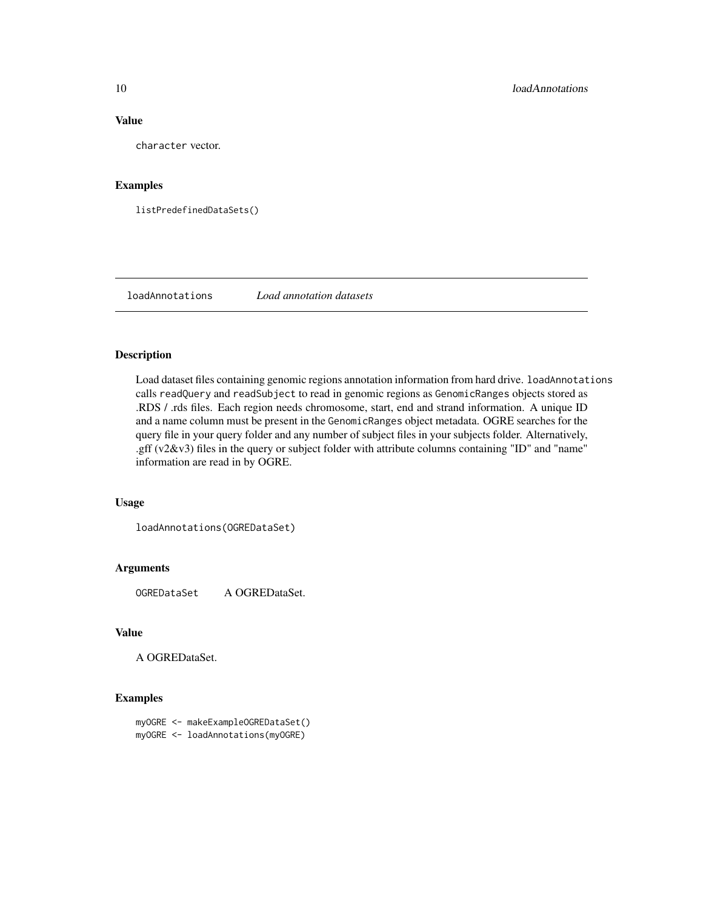#### Value

character vector.

# Examples

listPredefinedDataSets()

<span id="page-9-1"></span>loadAnnotations *Load annotation datasets*

# Description

Load dataset files containing genomic regions annotation information from hard drive. loadAnnotations calls readQuery and readSubject to read in genomic regions as GenomicRanges objects stored as .RDS / .rds files. Each region needs chromosome, start, end and strand information. A unique ID and a name column must be present in the GenomicRanges object metadata. OGRE searches for the query file in your query folder and any number of subject files in your subjects folder. Alternatively, .gff  $(v2&v3)$  files in the query or subject folder with attribute columns containing "ID" and "name" information are read in by OGRE.

#### Usage

loadAnnotations(OGREDataSet)

#### Arguments

OGREDataSet A OGREDataSet.

#### Value

A OGREDataSet.

```
myOGRE <- makeExampleOGREDataSet()
myOGRE <- loadAnnotations(myOGRE)
```
<span id="page-9-0"></span>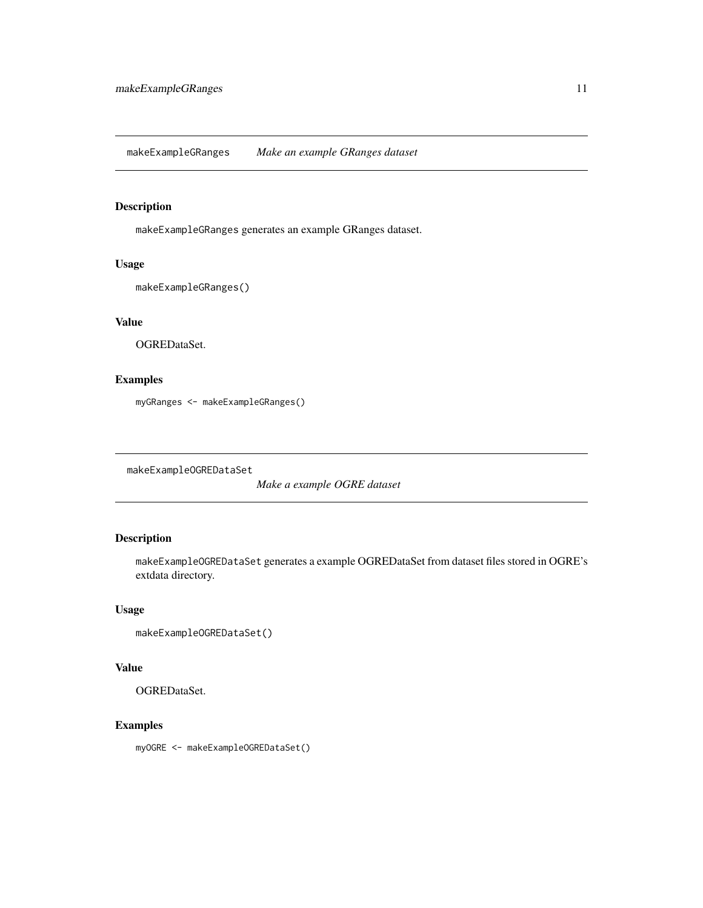<span id="page-10-0"></span>makeExampleGRanges *Make an example GRanges dataset*

# Description

makeExampleGRanges generates an example GRanges dataset.

# Usage

```
makeExampleGRanges()
```
# Value

OGREDataSet.

# Examples

myGRanges <- makeExampleGRanges()

makeExampleOGREDataSet

*Make a example OGRE dataset*

# Description

makeExampleOGREDataSet generates a example OGREDataSet from dataset files stored in OGRE's extdata directory.

#### Usage

```
makeExampleOGREDataSet()
```
# Value

OGREDataSet.

# Examples

myOGRE <- makeExampleOGREDataSet()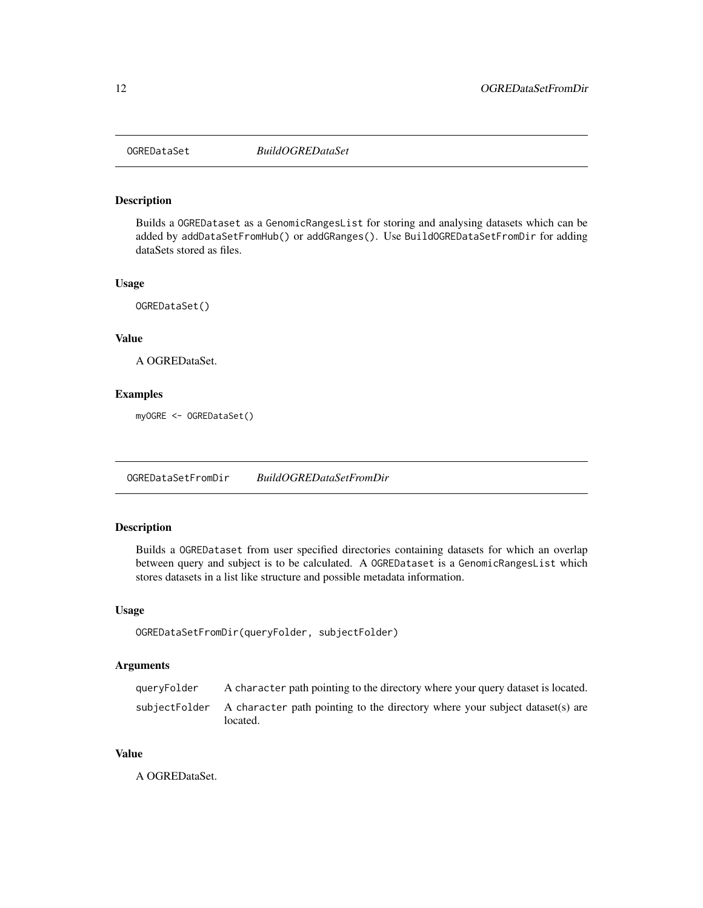<span id="page-11-2"></span><span id="page-11-0"></span>

Builds a OGREDataset as a GenomicRangesList for storing and analysing datasets which can be added by addDataSetFromHub() or addGRanges(). Use BuildOGREDataSetFromDir for adding dataSets stored as files.

#### Usage

OGREDataSet()

#### Value

A OGREDataSet.

# Examples

myOGRE <- OGREDataSet()

<span id="page-11-1"></span>OGREDataSetFromDir *BuildOGREDataSetFromDir*

# Description

Builds a OGREDataset from user specified directories containing datasets for which an overlap between query and subject is to be calculated. A OGREDataset is a GenomicRangesList which stores datasets in a list like structure and possible metadata information.

#### Usage

```
OGREDataSetFromDir(queryFolder, subjectFolder)
```
#### Arguments

| queryFolder | A character path pointing to the directory where your query dataset is located.                        |
|-------------|--------------------------------------------------------------------------------------------------------|
|             | subjectFolder A character path pointing to the directory where your subject dataset(s) are<br>located. |

#### Value

A OGREDataSet.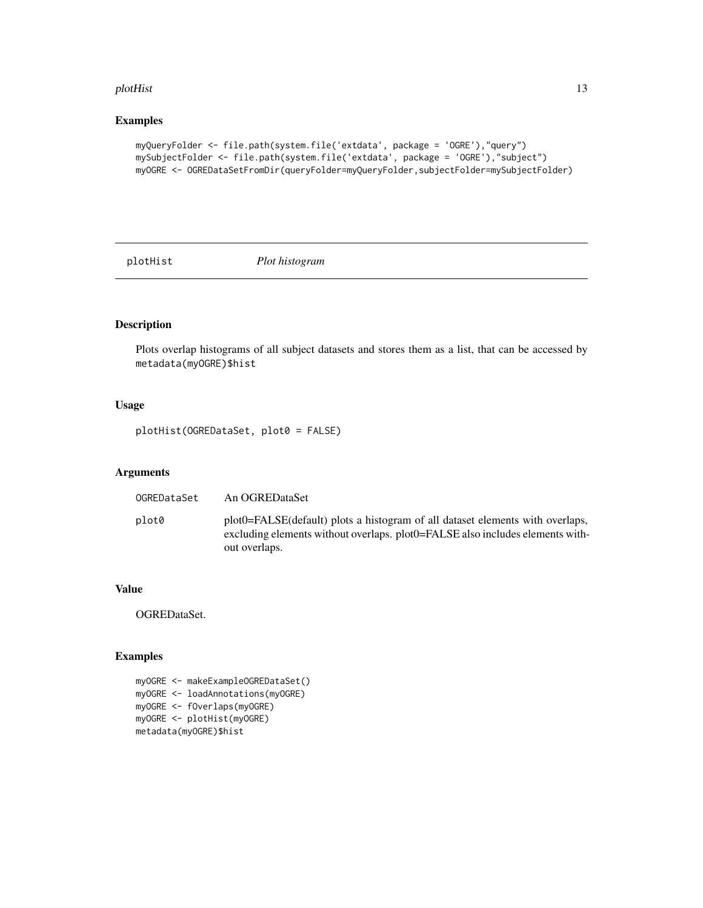#### <span id="page-12-0"></span>plotHist 13

# Examples

```
myQueryFolder <- file.path(system.file('extdata', package = 'OGRE'),"query")
mySubjectFolder <- file.path(system.file('extdata', package = 'OGRE'),"subject")
myOGRE <- OGREDataSetFromDir(queryFolder=myQueryFolder,subjectFolder=mySubjectFolder)
```
plotHist *Plot histogram*

# Description

Plots overlap histograms of all subject datasets and stores them as a list, that can be accessed by metadata(myOGRE)\$hist

#### Usage

plotHist(OGREDataSet, plot0 = FALSE)

# Arguments

| OGREDataSet | An OGREDataSet                                                                                                                                                                     |
|-------------|------------------------------------------------------------------------------------------------------------------------------------------------------------------------------------|
| plot0       | plot0=FALSE(default) plots a histogram of all dataset elements with overlaps,<br>excluding elements without overlaps. plot 0 = FALSE also includes elements with-<br>out overlaps. |

#### Value

OGREDataSet.

```
myOGRE <- makeExampleOGREDataSet()
myOGRE <- loadAnnotations(myOGRE)
myOGRE <- fOverlaps(myOGRE)
myOGRE <- plotHist(myOGRE)
metadata(myOGRE)$hist
```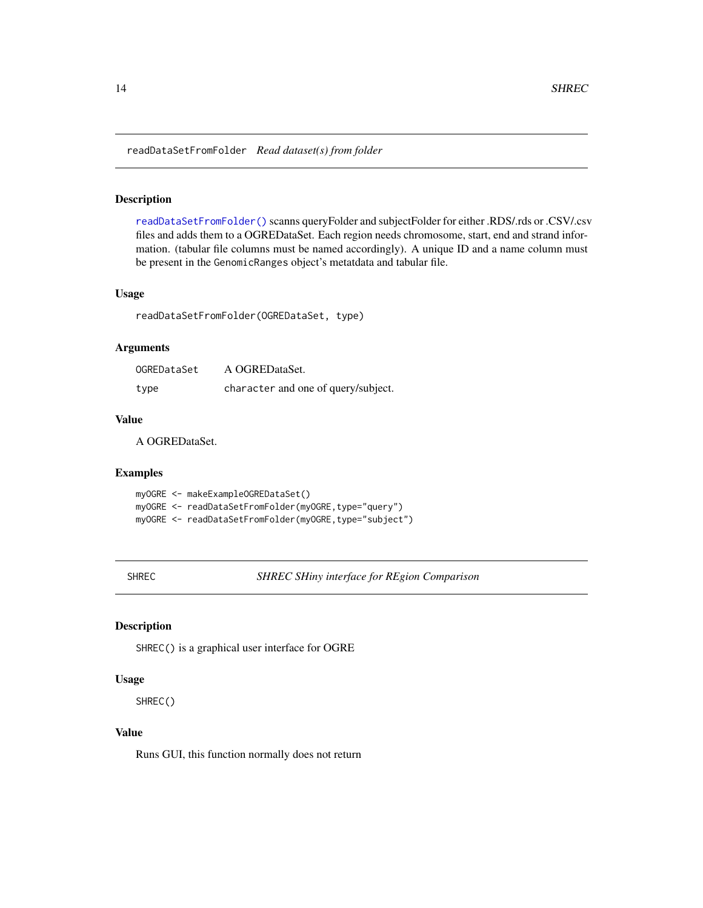<span id="page-13-1"></span><span id="page-13-0"></span>readDataSetFromFolder *Read dataset(s) from folder*

#### Description

[readDataSetFromFolder\(\)](#page-13-1) scanns queryFolder and subjectFolder for either .RDS/.rds or .CSV/.csv files and adds them to a OGREDataSet. Each region needs chromosome, start, end and strand information. (tabular file columns must be named accordingly). A unique ID and a name column must be present in the GenomicRanges object's metatdata and tabular file.

#### Usage

readDataSetFromFolder(OGREDataSet, type)

# Arguments

| OGREDataSet | A OGREDataSet.                      |
|-------------|-------------------------------------|
| type        | character and one of query/subject. |

#### Value

A OGREDataSet.

# Examples

```
myOGRE <- makeExampleOGREDataSet()
myOGRE <- readDataSetFromFolder(myOGRE,type="query")
myOGRE <- readDataSetFromFolder(myOGRE,type="subject")
```
SHREC *SHREC SHiny interface for REgion Comparison*

#### Description

SHREC() is a graphical user interface for OGRE

#### Usage

SHREC()

# Value

Runs GUI, this function normally does not return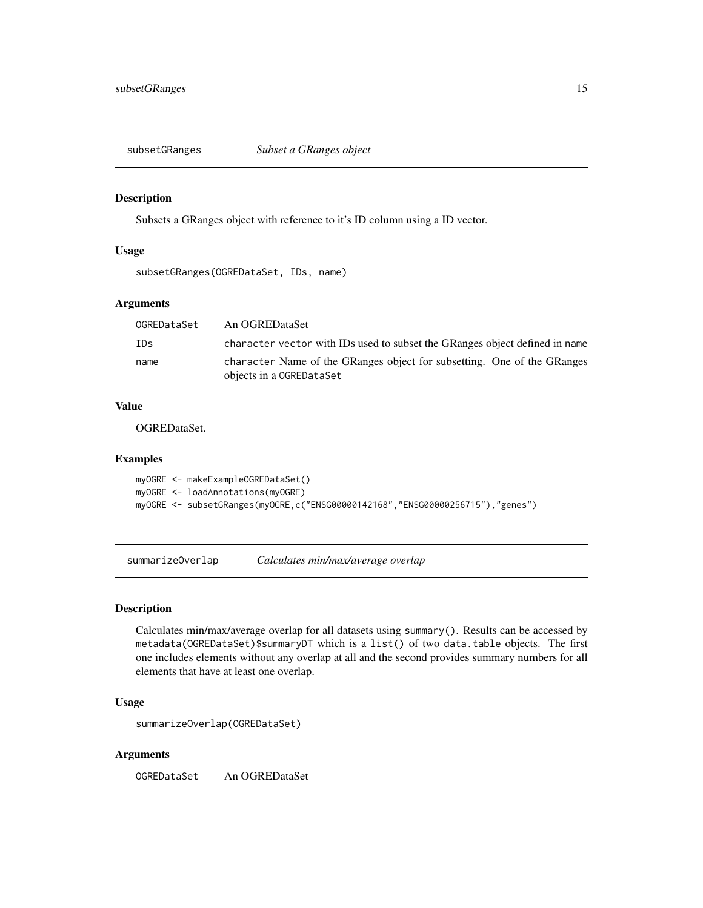<span id="page-14-0"></span>

Subsets a GRanges object with reference to it's ID column using a ID vector.

#### Usage

subsetGRanges(OGREDataSet, IDs, name)

# Arguments

| OGREDataSet | An OGREDataSet                                                                                      |
|-------------|-----------------------------------------------------------------------------------------------------|
| IDs         | character vector with IDs used to subset the GRanges object defined in name                         |
| name        | character Name of the GRanges object for subsetting. One of the GRanges<br>objects in a OGREDataSet |

#### Value

OGREDataSet.

#### Examples

```
myOGRE <- makeExampleOGREDataSet()
myOGRE <- loadAnnotations(myOGRE)
myOGRE <- subsetGRanges(myOGRE,c("ENSG00000142168","ENSG00000256715"),"genes")
```
summarizeOverlap *Calculates min/max/average overlap*

#### Description

Calculates min/max/average overlap for all datasets using summary(). Results can be accessed by metadata(OGREDataSet)\$summaryDT which is a list() of two data.table objects. The first one includes elements without any overlap at all and the second provides summary numbers for all elements that have at least one overlap.

#### Usage

```
summarizeOverlap(OGREDataSet)
```
#### Arguments

OGREDataSet An OGREDataSet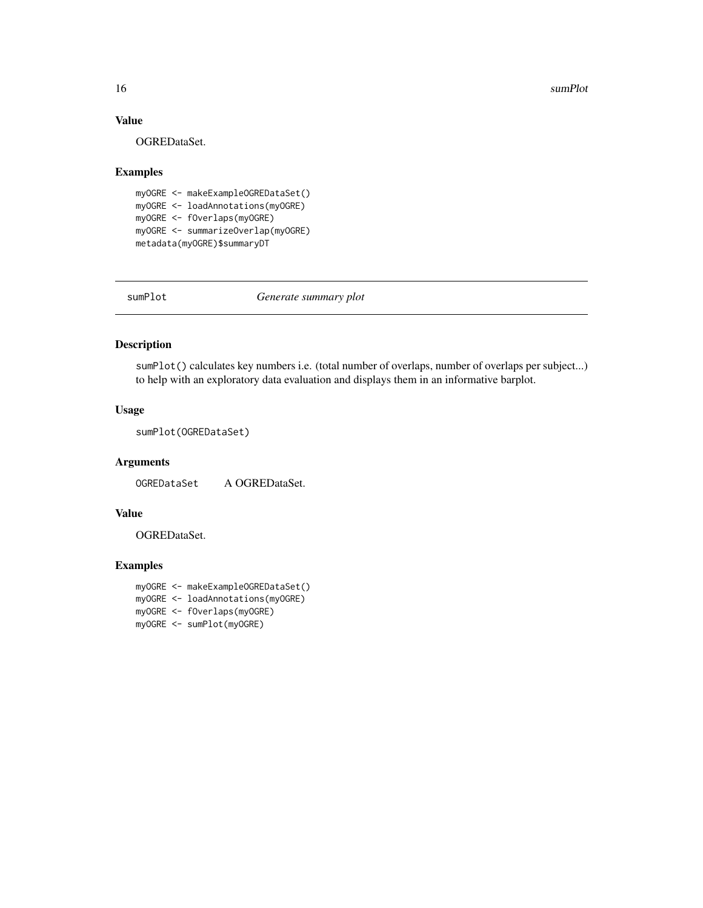#### <span id="page-15-0"></span>16 sumPlot

# Value

OGREDataSet.

#### Examples

```
myOGRE <- makeExampleOGREDataSet()
myOGRE <- loadAnnotations(myOGRE)
myOGRE <- fOverlaps(myOGRE)
myOGRE <- summarizeOverlap(myOGRE)
metadata(myOGRE)$summaryDT
```
<span id="page-15-1"></span>sumPlot *Generate summary plot*

#### Description

sumPlot() calculates key numbers i.e. (total number of overlaps, number of overlaps per subject...) to help with an exploratory data evaluation and displays them in an informative barplot.

# Usage

sumPlot(OGREDataSet)

#### Arguments

OGREDataSet A OGREDataSet.

# Value

OGREDataSet.

```
myOGRE <- makeExampleOGREDataSet()
myOGRE <- loadAnnotations(myOGRE)
myOGRE <- fOverlaps(myOGRE)
myOGRE <- sumPlot(myOGRE)
```